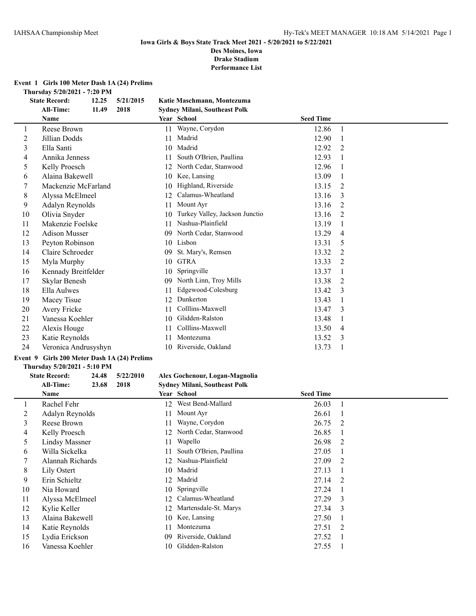**Performance List**

#### **Event 1 Girls 100 Meter Dash 1A (24) Prelims**

**Thursday 5/20/2021 - 7:20 PM**

|    | <b>State Record:</b><br>12.25 | 5/21/2015 |    | Katie Maschmann, Montezuma     |                  |                |
|----|-------------------------------|-----------|----|--------------------------------|------------------|----------------|
|    | <b>All-Time:</b><br>11.49     | 2018      |    | Sydney Milani, Southeast Polk  |                  |                |
|    | <b>Name</b>                   |           |    | Year School                    | <b>Seed Time</b> |                |
| 1  | Reese Brown                   |           | 11 | Wayne, Corydon                 | 12.86            | $\mathbf{1}$   |
| 2  | Jillian Dodds                 |           | 11 | Madrid                         | 12.90            | $\mathbf{1}$   |
| 3  | Ella Santi                    |           | 10 | Madrid                         | 12.92            | 2              |
| 4  | Annika Jenness                |           | 11 | South O'Brien, Paullina        | 12.93            |                |
| 5  | Kelly Proesch                 |           | 12 | North Cedar, Stanwood          | 12.96            | $\overline{1}$ |
| 6  | Alaina Bakewell               |           | 10 | Kee, Lansing                   | 13.09            | -1             |
| 7  | Mackenzie McFarland           |           | 10 | Highland, Riverside            | 13.15            | 2              |
| 8  | Alyssa McElmeel               |           | 12 | Calamus-Wheatland              | 13.16            | 3              |
| 9  | Adalyn Reynolds               |           | 11 | Mount Ayr                      | 13.16            | 2              |
| 10 | Olivia Snyder                 |           | 10 | Turkey Valley, Jackson Junctio | 13.16            | 2              |
| 11 | Makenzie Foelske              |           | 11 | Nashua-Plainfield              | 13.19            | -1             |
| 12 | <b>Adison Musser</b>          |           | 09 | North Cedar, Stanwood          | 13.29            | $\overline{4}$ |
| 13 | Peyton Robinson               |           | 10 | Lisbon                         | 13.31            | 5              |
| 14 | Claire Schroeder              |           | 09 | St. Mary's, Remsen             | 13.32            | 2              |
| 15 | Myla Murphy                   |           | 10 | <b>GTRA</b>                    | 13.33            | 2              |
| 16 | Kennady Breitfelder           |           | 10 | Springville                    | 13.37            |                |
| 17 | Skylar Benesh                 |           | 09 | North Linn, Troy Mills         | 13.38            | 2              |
| 18 | Ella Aulwes                   |           | 11 | Edgewood-Colesburg             | 13.42            | 3              |
| 19 | Macey Tisue                   |           | 12 | Dunkerton                      | 13.43            | $\mathbf{1}$   |
| 20 | Avery Fricke                  |           | 11 | Colllins-Maxwell               | 13.47            | 3              |
| 21 | Vanessa Koehler               |           | 10 | Glidden-Ralston                | 13.48            | -1             |
| 22 | Alexis Houge                  |           | 11 | Colllins-Maxwell               | 13.50            | $\overline{4}$ |
| 23 | Katie Reynolds                |           | 11 | Montezuma                      | 13.52            | 3              |
| 24 | Veronica Andrusyshyn          |           | 10 | Riverside, Oakland             | 13.73            |                |
|    |                               |           |    |                                |                  |                |

## **Event 9 Girls 200 Meter Dash 1A (24) Prelims**

#### **Thursday 5/20/2021 - 5:10 PM**

## **State Record: 24.48 5/22/2010 Alex Gochenour, Logan-Magnolia**

|    | 2018<br>All-Time:<br>23.68 | <b>Sydney Milani, Southeast Polk</b> |                        |  |
|----|----------------------------|--------------------------------------|------------------------|--|
|    | Name                       | Year School                          | <b>Seed Time</b>       |  |
|    | Rachel Fehr                | West Bend-Mallard<br>12              | 26.03                  |  |
| 2  | Adalyn Reynolds            | Mount Ayr<br>11                      | 26.61                  |  |
| 3  | Reese Brown                | Wayne, Corydon<br>11                 | 26.75<br>2             |  |
| 4  | Kelly Proesch              | North Cedar, Stanwood<br>12          | 26.85                  |  |
| 5  | Lindsy Massner             | Wapello<br>11                        | 26.98<br>2             |  |
| 6  | Willa Sickelka             | South O'Brien, Paullina<br>11        | 27.05                  |  |
|    | Alannah Richards           | Nashua-Plainfield<br>12              | 27.09<br>$\mathcal{L}$ |  |
| 8  | Lily Ostert                | Madrid<br>10                         | 27.13                  |  |
| 9  | Erin Schieltz              | 12 Madrid                            | 27.14<br>- 2           |  |
| 10 | Nia Howard                 | 10 Springville                       | 27.24                  |  |
| 11 | Alyssa McElmeel            | Calamus-Wheatland<br>12.             | 27.29<br>3             |  |
| 12 | Kylie Keller               | Martensdale-St. Marys<br>12          | 27.34<br>$\mathcal{E}$ |  |
| 13 | Alaina Bakewell            | Kee, Lansing<br>10.                  | 27.50                  |  |
| 14 | Katie Reynolds             | Montezuma                            | 27.51<br>-2            |  |
| 15 | Lydia Erickson             | Riverside, Oakland<br>09             | 27.52                  |  |
| 16 | Vanessa Koehler            | Glidden-Ralston<br>10.               | 27.55                  |  |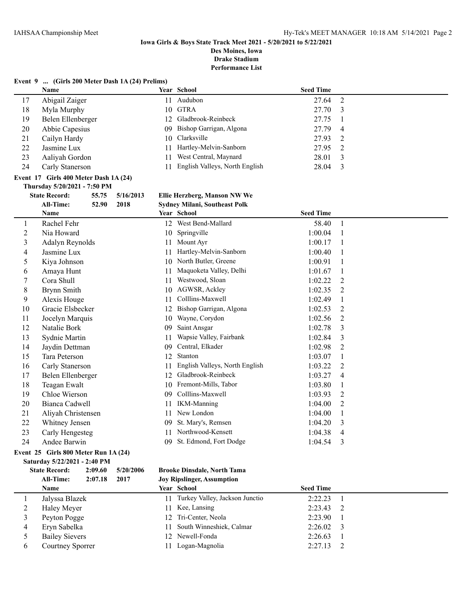## **Iowa Girls & Boys State Track Meet 2021 - 5/20/2021 to 5/22/2021**

**Des Moines, Iowa Drake Stadium**

**Performance List**

#### **Event 9 ... (Girls 200 Meter Dash 1A (24) Prelims)**  $\overline{\phantom{a}}$

|    | Name              |    | Year School                    | <b>Seed Time</b> |  |
|----|-------------------|----|--------------------------------|------------------|--|
| 17 | Abigail Zaiger    | 11 | Audubon                        | 27.64 2          |  |
| 18 | Myla Murphy       |    | 10 GTRA                        | 27.70 3          |  |
| 19 | Belen Ellenberger |    | 12 Gladbrook-Reinbeck          | 27.75            |  |
| 20 | Abbie Capesius    |    | 09 Bishop Garrigan, Algona     | 27.79 4          |  |
| 21 | Cailyn Hardy      |    | 10 Clarksville                 | 27.93 2          |  |
| 22 | Jasmine Lux       |    | 11 Hartley-Melvin-Sanborn      | 27.95 2          |  |
| 23 | Aaliyah Gordon    |    | 11 West Central, Maynard       | 28.01 3          |  |
| 24 | Carly Stanerson   | 11 | English Valleys, North English | 28.04            |  |

#### **Event 17 Girls 400 Meter Dash 1A (24)**

#### **Thursday 5/20/2021 - 7:50 PM**

## **State Record: 55.75 5/16/2013 Ellie Herzberg, Manson NW We**

|    | All-Time:<br>2018<br>52.90 |    | <b>Sydney Milani, Southeast Polk</b> |                  |                |
|----|----------------------------|----|--------------------------------------|------------------|----------------|
|    | Name                       |    | Year School                          | <b>Seed Time</b> |                |
| 1  | Rachel Fehr                | 12 | West Bend-Mallard                    | 58.40            | $\mathbf{1}$   |
| 2  | Nia Howard                 | 10 | Springville                          | 1:00.04          |                |
| 3  | Adalyn Reynolds            | 11 | Mount Ayr                            | 1:00.17          |                |
| 4  | Jasmine Lux                | 11 | Hartley-Melvin-Sanborn               | 1:00.40          |                |
| 5  | Kiya Johnson               | 10 | North Butler, Greene                 | 1:00.91          |                |
| 6  | Amaya Hunt                 | 11 | Maquoketa Valley, Delhi              | 1:01.67          |                |
|    | Cora Shull                 | 11 | Westwood, Sloan                      | 1:02.22          | $\overline{2}$ |
| 8  | Brynn Smith                | 10 | AGWSR, Ackley                        | 1:02.35          | $\overline{2}$ |
| 9  | Alexis Houge               | 11 | Colllins-Maxwell                     | 1:02.49          | 1              |
| 10 | Gracie Elsbecker           | 12 | Bishop Garrigan, Algona              | 1:02.53          | $\overline{2}$ |
| 11 | Jocelyn Marquis            | 10 | Wayne, Corydon                       | 1:02.56          | 2              |
| 12 | Natalie Bork               | 09 | Saint Ansgar                         | 1:02.78          | 3              |
| 13 | Sydnie Martin              | 11 | Wapsie Valley, Fairbank              | 1:02.84          | 3              |
| 14 | Jaydin Dettman             | 09 | Central, Elkader                     | 1:02.98          | $\overline{2}$ |
| 15 | Tara Peterson              | 12 | Stanton                              | 1:03.07          |                |
| 16 | Carly Stanerson            |    | English Valleys, North English       | 1:03.22          | $\overline{2}$ |
| 17 | Belen Ellenberger          | 12 | Gladbrook-Reinbeck                   | 1:03.27          | 4              |
| 18 | Teagan Ewalt               | 10 | Fremont-Mills, Tabor                 | 1:03.80          |                |
| 19 | Chloe Wierson              | 09 | Colllins-Maxwell                     | 1:03.93          | $\overline{2}$ |
| 20 | Bianca Cadwell             | 11 | <b>IKM-Manning</b>                   | 1:04.00          | $\overline{2}$ |
| 21 | Aliyah Christensen         | 11 | New London                           | 1:04.00          |                |
| 22 | Whitney Jensen             | 09 | St. Mary's, Remsen                   | 1:04.20          | 3              |
| 23 | Carly Hengesteg            | 11 | Northwood-Kensett                    | 1:04.38          | 4              |
| 24 | Andee Barwin               | 09 | St. Edmond, Fort Dodge               | 1:04.54          | 3              |
|    |                            |    |                                      |                  |                |

#### **Event 25 Girls 800 Meter Run 1A (24)**

**Saturday 5/22/2021 - 2:40 PM**

#### **State Record: 2:09.60 5/20/2006 Brooke Dinsdale, North Tama All-Time: 2:07.18 2017 Joy Ripslinger, Assumption**

### **Name School Seed Time Seed Time Seed Time**  Jalyssa Blazek 11 Turkey Valley, Jackson Junctio 2:22.23 1 2 Haley Meyer 11 Kee, Lansing 2:23.43 2 3 Peyton Pogge 12 Tri-Center, Neola 2:23.90 1 Eryn Sabelka 11 South Winneshiek, Calmar 2:26.02 3 Bailey Sievers 12 Newell-Fonda 2:26.63 1 Courtney Sporrer 11 Logan-Magnolia 2:27.13 2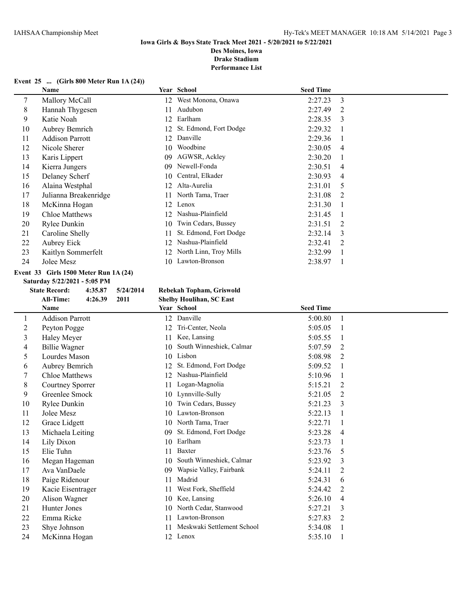#### **Iowa Girls & Boys State Track Meet 2021 - 5/20/2021 to 5/22/2021 Des Moines, Iowa**

**Drake Stadium**

**Performance List**

#### **Event 25 ... (Girls 800 Meter Run 1A (24))**

| Name                  |     |                        | <b>Seed Time</b> |               |
|-----------------------|-----|------------------------|------------------|---------------|
| Mallory McCall        | 12  | West Monona, Onawa     | 2:27.23          | 3             |
| Hannah Thygesen       | 11  | Audubon                | 2:27.49          | 2             |
| Katie Noah            | 12  | Earlham                | 2:28.35          | 3             |
| Aubrey Bemrich        | 12  | St. Edmond, Fort Dodge | 2:29.32          |               |
| Addison Parrott       | 12  | Danville               | 2:29.36          |               |
| Nicole Sherer         | 10  | Woodbine               | 2:30.05          | 4             |
| Karis Lippert         | 09  | AGWSR, Ackley          | 2:30.20          |               |
| Kierra Jungers        | 09  | Newell-Fonda           | 2:30.51          | 4             |
| Delaney Scherf        | 10  | Central, Elkader       | 2:30.93          | 4             |
| Alaina Westphal       | 12  | Alta-Aurelia           | 2:31.01          | 5             |
| Julianna Breakenridge | 11  | North Tama, Traer      | 2:31.08          | $\mathcal{L}$ |
| McKinna Hogan         | 12  | Lenox                  | 2:31.30          |               |
| <b>Chloe Matthews</b> | 12. | Nashua-Plainfield      | 2:31.45          |               |
| Rylee Dunkin          | 10  | Twin Cedars, Bussey    | 2:31.51          | 2             |
| Caroline Shelly       | 11  | St. Edmond, Fort Dodge | 2:32.14          | 3             |
| Aubrey Eick           | 12  | Nashua-Plainfield      | 2:32.41          | 2             |
| Kaitlyn Sommerfelt    | 12  | North Linn, Troy Mills | 2:32.99          |               |
| Jolee Mesz            | 10  | Lawton-Bronson         | 2:38.97          |               |
|                       |     |                        | Year School      |               |

#### **Event 33 Girls 1500 Meter Run 1A (24)**

**Saturday 5/22/2021 - 5:05 PM**

## **State Record: 4:35.87 5/24/2014 Rebekah Topham, Griswold**

**All-Time: 4:26.39 2011 Shelby Houlihan, SC East**

|                | <b>Name</b>            |    | Year School                | <b>Seed Time</b> |   |
|----------------|------------------------|----|----------------------------|------------------|---|
| 1              | <b>Addison Parrott</b> |    | 12 Danville                | 5:00.80          |   |
| $\overline{c}$ | Peyton Pogge           | 12 | Tri-Center, Neola          | 5:05.05          |   |
| 3              | Haley Meyer            | 11 | Kee, Lansing               | 5:05.55          |   |
| 4              | <b>Billie Wagner</b>   | 10 | South Winneshiek, Calmar   | 5:07.59          | 2 |
| 5              | Lourdes Mason          | 10 | Lisbon                     | 5:08.98          | 2 |
| 6              | Aubrey Bemrich         | 12 | St. Edmond, Fort Dodge     | 5:09.52          |   |
| 7              | Chloe Matthews         | 12 | Nashua-Plainfield          | 5:10.96          |   |
| 8              | Courtney Sporrer       | 11 | Logan-Magnolia             | 5:15.21          | 2 |
| 9              | Greenlee Smock         |    | 10 Lynnville-Sully         | 5:21.05          | 2 |
| 10             | Rylee Dunkin           | 10 | Twin Cedars, Bussey        | 5:21.23          | 3 |
| 11             | Jolee Mesz             | 10 | Lawton-Bronson             | 5:22.13          |   |
| 12             | Grace Lidgett          | 10 | North Tama, Traer          | 5:22.71          |   |
| 13             | Michaela Leiting       | 09 | St. Edmond, Fort Dodge     | 5:23.28          | 4 |
| 14             | Lily Dixon             | 10 | Earlham                    | 5:23.73          |   |
| 15             | Elie Tuhn              | 11 | Baxter                     | 5:23.76          | 5 |
| 16             | Megan Hageman          | 10 | South Winneshiek, Calmar   | 5:23.92          | 3 |
| 17             | Ava VanDaele           | 09 | Wapsie Valley, Fairbank    | 5:24.11          | 2 |
| 18             | Paige Ridenour         | 11 | Madrid                     | 5:24.31          | 6 |
| 19             | Kacie Eisentrager      | 11 | West Fork, Sheffield       | 5:24.42          | 2 |
| 20             | Alison Wagner          | 10 | Kee, Lansing               | 5:26.10          | 4 |
| 21             | Hunter Jones           | 10 | North Cedar, Stanwood      | 5:27.21          | 3 |
| 22             | Emma Ricke             |    | Lawton-Bronson             | 5:27.83          | 2 |
| 23             | Shye Johnson           | 11 | Meskwaki Settlement School | 5:34.08          |   |
| 24             | McKinna Hogan          | 12 | Lenox                      | 5:35.10          |   |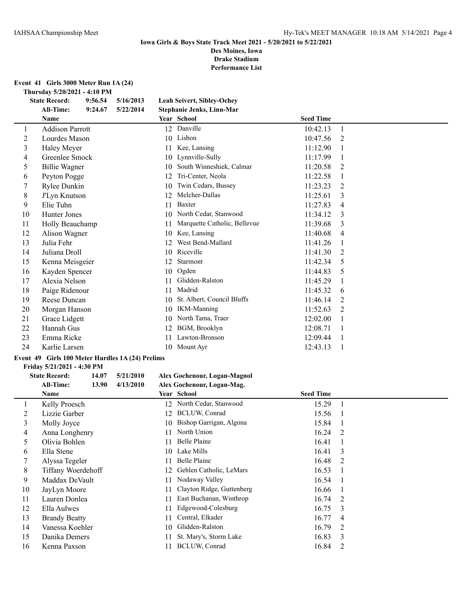**Event 41 Girls 3000 Meter Run 1A (24)**

**Thursday 5/20/2021 - 4:10 PM**<br>State Record: 9:56.54 5/16/2013

| <b>State Record:</b> | 9:56.54 | 5/16/2013                                                                                                                                                                                                                                                                                                                                                                |    |                              |                                                                                     |                               |  |
|----------------------|---------|--------------------------------------------------------------------------------------------------------------------------------------------------------------------------------------------------------------------------------------------------------------------------------------------------------------------------------------------------------------------------|----|------------------------------|-------------------------------------------------------------------------------------|-------------------------------|--|
| All-Time:            | 9:24.67 | 5/22/2014                                                                                                                                                                                                                                                                                                                                                                |    |                              |                                                                                     |                               |  |
| <b>Name</b>          |         |                                                                                                                                                                                                                                                                                                                                                                          |    |                              | <b>Seed Time</b>                                                                    |                               |  |
|                      |         |                                                                                                                                                                                                                                                                                                                                                                          | 12 | Danville                     | 10:42.13                                                                            | $\mathbf{1}$                  |  |
|                      |         |                                                                                                                                                                                                                                                                                                                                                                          | 10 | Lisbon                       | 10:47.56                                                                            | 2                             |  |
|                      |         |                                                                                                                                                                                                                                                                                                                                                                          | 11 | Kee, Lansing                 | 11:12.90                                                                            |                               |  |
|                      |         |                                                                                                                                                                                                                                                                                                                                                                          | 10 | Lynnville-Sully              | 11:17.99                                                                            |                               |  |
|                      |         |                                                                                                                                                                                                                                                                                                                                                                          | 10 | South Winneshiek, Calmar     | 11:20.58                                                                            | 2                             |  |
|                      |         |                                                                                                                                                                                                                                                                                                                                                                          | 12 | Tri-Center, Neola            | 11:22.58                                                                            |                               |  |
|                      |         |                                                                                                                                                                                                                                                                                                                                                                          | 10 | Twin Cedars, Bussey          | 11:23.23                                                                            | 2                             |  |
|                      |         |                                                                                                                                                                                                                                                                                                                                                                          | 12 | Melcher-Dallas               | 11:25.61                                                                            | 3                             |  |
| Elie Tuhn            |         |                                                                                                                                                                                                                                                                                                                                                                          | 11 | Baxter                       | 11:27.83                                                                            | 4                             |  |
|                      |         |                                                                                                                                                                                                                                                                                                                                                                          | 10 | North Cedar, Stanwood        | 11:34.12                                                                            | 3                             |  |
|                      |         |                                                                                                                                                                                                                                                                                                                                                                          | 11 | Marquette Catholic, Bellevue | 11:39.68                                                                            | 3                             |  |
|                      |         |                                                                                                                                                                                                                                                                                                                                                                          | 10 | Kee, Lansing                 | 11:40.68                                                                            | 4                             |  |
| Julia Fehr           |         |                                                                                                                                                                                                                                                                                                                                                                          | 12 | West Bend-Mallard            | 11:41.26                                                                            |                               |  |
|                      |         |                                                                                                                                                                                                                                                                                                                                                                          | 10 | Riceville                    | 11:41.30                                                                            | $\mathfrak{D}_{\mathfrak{p}}$ |  |
|                      |         |                                                                                                                                                                                                                                                                                                                                                                          | 12 | Starmont                     | 11:42.34                                                                            | 5                             |  |
|                      |         |                                                                                                                                                                                                                                                                                                                                                                          | 10 | Ogden                        | 11:44.83                                                                            | 5                             |  |
|                      |         |                                                                                                                                                                                                                                                                                                                                                                          | 11 | Glidden-Ralston              | 11:45.29                                                                            |                               |  |
|                      |         |                                                                                                                                                                                                                                                                                                                                                                          | 11 | Madrid                       | 11:45.32                                                                            | 6                             |  |
|                      |         |                                                                                                                                                                                                                                                                                                                                                                          | 10 | St. Albert, Council Bluffs   | 11:46.14                                                                            | $\mathfrak{D}_{\mathfrak{p}}$ |  |
|                      |         |                                                                                                                                                                                                                                                                                                                                                                          | 10 | <b>IKM-Manning</b>           | 11:52.63                                                                            | 2                             |  |
|                      |         |                                                                                                                                                                                                                                                                                                                                                                          | 10 | North Tama, Traer            | 12:02.00                                                                            |                               |  |
| Hannah Gus           |         |                                                                                                                                                                                                                                                                                                                                                                          | 12 | BGM, Brooklyn                | 12:08.71                                                                            |                               |  |
|                      |         |                                                                                                                                                                                                                                                                                                                                                                          | 11 | Lawton-Bronson               | 12:09.44                                                                            |                               |  |
|                      |         |                                                                                                                                                                                                                                                                                                                                                                          | 10 |                              | 12:43.13                                                                            |                               |  |
|                      |         | <b>Addison Parrott</b><br>Lourdes Mason<br>Haley Meyer<br>Greenlee Smock<br>Billie Wagner<br>Peyton Pogge<br>Rylee Dunkin<br>J'Lyn Knutson<br>Hunter Jones<br>Holly Beauchamp<br>Alison Wagner<br>Juliana Droll<br>Kenna Meisgeier<br>Kayden Spencer<br>Alexia Nelson<br>Paige Ridenour<br>Reese Duncan<br>Morgan Hanson<br>Grace Lidgett<br>Emma Ricke<br>Karlie Larsen |    |                              | Leah Seivert, Sibley-Ochey<br>Stephanie Jenks, Linn-Mar<br>Year School<br>Mount Ayr |                               |  |

#### **Event 49 Girls 100 Meter Hurdles 1A (24) Prelims**

#### **Friday 5/21/2021 - 4:30 PM**

#### **State Record: 14.07 5/21/2010 Alex Gochenour, Logan-Magnol All-Time: 13.90 4/13/2010 Alex Gochenour, Logan-Mag.**

|    | Name                 |    | Year School               | <b>Seed Time</b> |   |
|----|----------------------|----|---------------------------|------------------|---|
|    | Kelly Proesch        |    | 12 North Cedar, Stanwood  | 15.29            |   |
| 2  | Lizzie Garber        | 12 | BCLUW, Conrad             | 15.56            |   |
| 3  | Molly Joyce          | 10 | Bishop Garrigan, Algona   | 15.84            |   |
| 4  | Anna Longhenry       | 11 | North Union               | 16.24            | 2 |
| 5. | Olivia Bohlen        | 11 | Belle Plaine              | 16.41            |   |
| 6  | Ella Stene           | 10 | Lake Mills                | 16.41            | 3 |
|    | Alyssa Tegeler       | 11 | Belle Plaine              | 16.48            | 2 |
| 8  | Tiffany Woerdehoff   | 12 | Gehlen Catholic, LeMars   | 16.53            |   |
| 9  | Maddax DeVault       | 11 | Nodaway Valley            | 16.54            |   |
| 10 | JayLyn Moore         | 11 | Clayton Ridge, Guttenberg | 16.66            |   |
| 11 | Lauren Donlea        | 11 | East Buchanan, Winthrop   | 16.74            | 2 |
| 12 | Ella Aulwes          | 11 | Edgewood-Colesburg        | 16.75            | 3 |
| 13 | <b>Brandy Beatty</b> | 11 | Central, Elkader          | 16.77            | 4 |
| 14 | Vanessa Koehler      | 10 | Glidden-Ralston           | 16.79            | 2 |
| 15 | Danika Demers        |    | St. Mary's, Storm Lake    | 16.83            | 3 |
| 16 | Kenna Paxson         |    | BCLUW, Conrad             | 16.84            | 2 |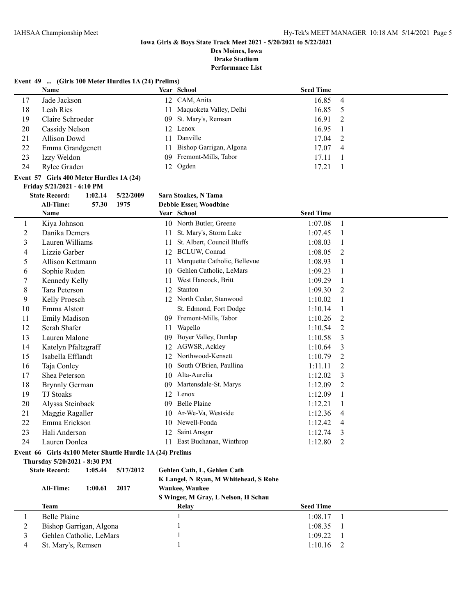## **Iowa Girls & Boys State Track Meet 2021 - 5/20/2021 to 5/22/2021**

**Des Moines, Iowa Drake Stadium**

**Performance List**

#### **Event 49 ... (Girls 100 Meter Hurdles 1A (24) Prelims)**

|    | <b>Name</b>      | Year School                | <b>Seed Time</b> |                |
|----|------------------|----------------------------|------------------|----------------|
| 17 | Jade Jackson     | 12 CAM, Anita              | 16.85            | $\overline{4}$ |
| 18 | Leah Ries        | 11 Maquoketa Valley, Delhi | 16.85            |                |
| 19 | Claire Schroeder | 09 St. Mary's, Remsen      | 16.91            | -2             |
| 20 | Cassidy Nelson   | 12 Lenox                   | 16.95            |                |
| 21 | Allison Dowd     | 11 Danville                | 17.04            | -2             |
| 22 | Emma Grandgenett | 11 Bishop Garrigan, Algona | 17.07            | $\overline{4}$ |
| 23 | Izzy Weldon      | 09 Fremont-Mills, Tabor    | 17.11            |                |
| 24 | Rylee Graden     | 12 Ogden                   | 17.21            |                |

#### **Event 57 Girls 400 Meter Hurdles 1A (24) Friday 5/21/2021 - 6:10 PM**

#### **State Record: 1:02.14 5/22/2009 Sara Stoakes, N Tama**

|    | <b>All-Time:</b><br>1975<br>57.30                         | <b>Debbie Esser, Woodbine</b>      |                           |
|----|-----------------------------------------------------------|------------------------------------|---------------------------|
|    | Name                                                      | Year School                        | <b>Seed Time</b>          |
| 1  | Kiya Johnson                                              | North Butler, Greene<br>10         | 1:07.08<br>$\mathbf{1}$   |
| 2  | Danika Demers                                             | St. Mary's, Storm Lake<br>11       | 1:07.45<br>1              |
| 3  | Lauren Williams                                           | St. Albert, Council Bluffs<br>11   | 1:08.03                   |
| 4  | Lizzie Garber                                             | <b>BCLUW, Conrad</b><br>12         | 1:08.05<br>2              |
| 5  | Allison Kettmann                                          | Marquette Catholic, Bellevue<br>11 | 1:08.93<br>1              |
| 6  | Sophie Ruden                                              | Gehlen Catholic, LeMars<br>10      | 1:09.23<br>1              |
|    | Kennedy Kelly                                             | West Hancock, Britt<br>11          | 1:09.29<br>1              |
| 8  | Tara Peterson                                             | Stanton<br>12                      | 1:09.30<br>$\overline{2}$ |
| 9  | Kelly Proesch                                             | North Cedar, Stanwood<br>12        | 1:10.02                   |
| 10 | Emma Alstott                                              | St. Edmond, Fort Dodge             | 1:10.14                   |
| 11 | <b>Emily Madison</b>                                      | Fremont-Mills, Tabor<br>-09        | 1:10.26<br>2              |
| 12 | Serah Shafer                                              | Wapello<br>11                      | 1:10.54<br>2              |
| 13 | Lauren Malone                                             | Boyer Valley, Dunlap<br>09         | 1:10.58<br>3              |
| 14 | Katelyn Pfaltzgraff                                       | AGWSR, Ackley<br>12                | 3<br>1:10.64              |
| 15 | Isabella Efflandt                                         | Northwood-Kensett<br>12            | 1:10.79<br>2              |
| 16 | Taja Conley                                               | South O'Brien, Paullina<br>10      | 1:11.11<br>2              |
| 17 | Shea Peterson                                             | Alta-Aurelia<br>10                 | 1:12.02<br>3              |
| 18 | <b>Brynnly German</b>                                     | Martensdale-St. Marys<br>09        | 1:12.09<br>2              |
| 19 | <b>TJ</b> Stoaks                                          | 12<br>Lenox                        | 1:12.09<br>1              |
| 20 | Alyssa Steinback                                          | Belle Plaine<br>09                 | 1:12.21<br>1              |
| 21 | Maggie Ragaller                                           | Ar-We-Va, Westside<br>10           | 1:12.36<br>4              |
| 22 | Emma Erickson                                             | Newell-Fonda<br>10                 | 1:12.42<br>4              |
| 23 | Hali Anderson                                             | Saint Ansgar<br>12                 | 1:12.74<br>3              |
| 24 | Lauren Donlea                                             | East Buchanan, Winthrop<br>11      | 1:12.80<br>2              |
|    | Event 66 Girls 4x100 Meter Shuttle Hurdle 1A (24) Prelims |                                    |                           |
|    | Thursday 5/20/2021 - 8:30 PM                              |                                    |                           |
|    | <b>State Record:</b><br>1:05.44<br>5/17/2012              | Gehlen Cath, L, Gehlen Cath        |                           |

| <b>All-Time:</b><br>2017<br>1:00.61 | K Langel, N Ryan, M Whitehead, S Rohe<br><b>Waukee, Waukee</b><br>S Winger, M Gray, L Nelson, H Schau |                  |  |
|-------------------------------------|-------------------------------------------------------------------------------------------------------|------------------|--|
| Team                                | Relay                                                                                                 | <b>Seed Time</b> |  |
| Belle Plaine                        |                                                                                                       | 1:08.17          |  |
| Bishop Garrigan, Algona             |                                                                                                       | 1:08.35          |  |
| Gehlen Catholic, LeMars             |                                                                                                       | 1:09.22          |  |
| St. Mary's, Remsen                  |                                                                                                       | 1:10.16          |  |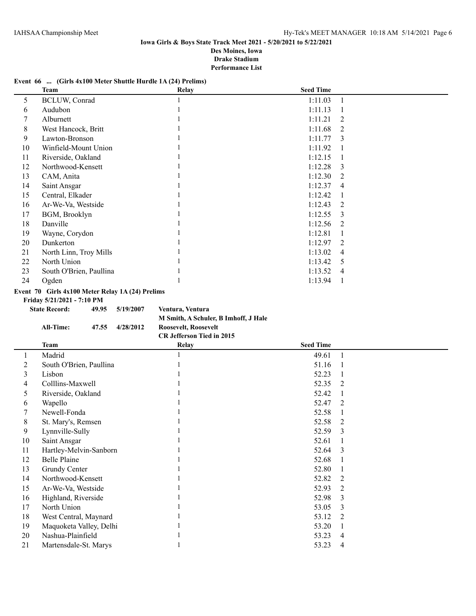#### **Event 66 ... (Girls 4x100 Meter Shuttle Hurdle 1A (24) Prelims)**

|    | Team                    | <b>Relay</b> | <b>Seed Time</b>          |  |
|----|-------------------------|--------------|---------------------------|--|
| 5  | <b>BCLUW, Conrad</b>    |              | 1:11.03<br>-1             |  |
| 6  | Audubon                 |              | 1:11.13                   |  |
|    | Alburnett               |              | 1:11.21<br>2              |  |
| 8  | West Hancock, Britt     |              | 1:11.68<br>2              |  |
| 9  | Lawton-Bronson          |              | 1:11.77<br>3              |  |
| 10 | Winfield-Mount Union    |              | 1:11.92                   |  |
| 11 | Riverside, Oakland      |              | 1:12.15                   |  |
| 12 | Northwood-Kensett       |              | 1:12.28<br>$\mathcal{E}$  |  |
| 13 | CAM, Anita              |              | 1:12.30<br>2              |  |
| 14 | Saint Ansgar            |              | 1:12.37<br>4              |  |
| 15 | Central, Elkader        |              | 1:12.42                   |  |
| 16 | Ar-We-Va, Westside      |              | 1:12.43<br>$\mathfrak{D}$ |  |
| 17 | BGM, Brooklyn           |              | 1:12.55<br>3              |  |
| 18 | Danville                |              | 1:12.56<br>$\mathfrak{D}$ |  |
| 19 | Wayne, Corydon          |              | 1:12.81                   |  |
| 20 | Dunkerton               |              | 1:12.97<br>2              |  |
| 21 | North Linn, Troy Mills  |              | 1:13.02<br>$\overline{4}$ |  |
| 22 | North Union             |              | 1:13.42<br>5              |  |
| 23 | South O'Brien, Paullina |              | 1:13.52<br>$\overline{4}$ |  |
| 24 | Ogden                   |              | 1:13.94                   |  |

#### **Event 70 Girls 4x100 Meter Relay 1A (24) Prelims**

**Friday 5/21/2021 - 7:10 PM**

**State Record: 49.95 5/19/2007 Ventura, Ventura M Smith, A Schuler, B Imhoff, J Hale All-Time: 47.55 4/28/2012 Roosevelt, Roosevelt CR Jefferson Tied in 2015**

|    | Team                    | <b>Relay</b> | <b>Seed Time</b> |   |
|----|-------------------------|--------------|------------------|---|
|    | Madrid                  |              | 49.61            |   |
| 2  | South O'Brien, Paullina |              | 51.16            |   |
| 3  | Lisbon                  |              | 52.23            |   |
| 4  | Colllins-Maxwell        |              | 52.35            | 2 |
| 5  | Riverside, Oakland      |              | 52.42            |   |
| 6  | Wapello                 |              | 52.47            | 2 |
|    | Newell-Fonda            |              | 52.58            |   |
| 8  | St. Mary's, Remsen      |              | 52.58            | 2 |
| 9  | Lynnville-Sully         |              | 52.59            | 3 |
| 10 | Saint Ansgar            |              | 52.61            |   |
| 11 | Hartley-Melvin-Sanborn  |              | 52.64            | 3 |
| 12 | Belle Plaine            |              | 52.68            |   |
| 13 | Grundy Center           |              | 52.80            |   |
| 14 | Northwood-Kensett       |              | 52.82            | 2 |
| 15 | Ar-We-Va, Westside      |              | 52.93            | 2 |
| 16 | Highland, Riverside     |              | 52.98            | 3 |
| 17 | North Union             |              | 53.05            | 3 |
| 18 | West Central, Maynard   |              | 53.12            | 2 |
| 19 | Maquoketa Valley, Delhi |              | 53.20            |   |
| 20 | Nashua-Plainfield       |              | 53.23            | 4 |
| 21 | Martensdale-St. Marys   |              | 53.23            | 4 |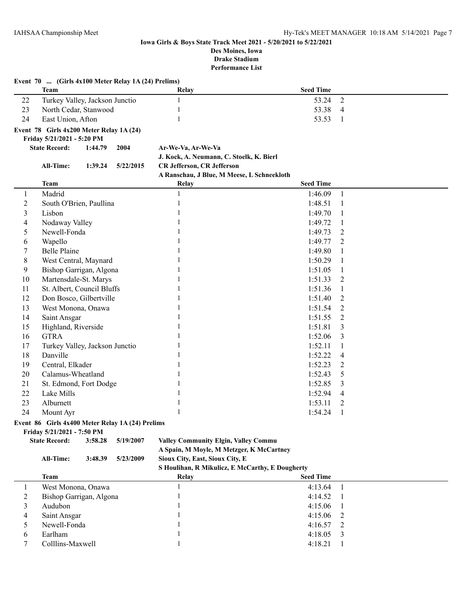|                  | Event 70  (Girls 4x100 Meter Relay 1A (24) Prelims) |         |           |                                             |                  |                |
|------------------|-----------------------------------------------------|---------|-----------|---------------------------------------------|------------------|----------------|
|                  | <b>Team</b>                                         |         |           | Relay                                       | <b>Seed Time</b> |                |
| 22               | Turkey Valley, Jackson Junctio                      |         |           | $\mathbf{1}$                                | 53.24            | 2              |
| 23               | North Cedar, Stanwood                               |         |           | 1                                           | 53.38            | $\overline{4}$ |
| 24               | East Union, Afton                                   |         |           | 1                                           | 53.53            | $\mathbf{1}$   |
|                  | Event 78 Girls 4x200 Meter Relay 1A (24)            |         |           |                                             |                  |                |
|                  | Friday 5/21/2021 - 5:20 PM                          |         |           |                                             |                  |                |
|                  | <b>State Record:</b>                                | 1:44.79 | 2004      | Ar-We-Va, Ar-We-Va                          |                  |                |
|                  |                                                     |         |           | J. Kock, A. Neumann, C. Stoelk, K. Bierl    |                  |                |
|                  | All-Time:                                           | 1:39.24 | 5/22/2015 | CR Jefferson, CR Jefferson                  |                  |                |
|                  |                                                     |         |           | A Ranschau, J Blue, M Meese, L Schneekloth  |                  |                |
|                  | <b>Team</b>                                         |         |           | Relay                                       | <b>Seed Time</b> |                |
| $\mathbf{1}$     | Madrid                                              |         |           | $\mathbf{1}$                                | 1:46.09          | $\mathbf{1}$   |
| $\overline{2}$   | South O'Brien, Paullina                             |         |           | $\mathbf{1}$                                | 1:48.51          | $\mathbf{1}$   |
| 3                | Lisbon                                              |         |           | $\mathbf{1}$                                | 1:49.70          | $\mathbf{1}$   |
| $\overline{4}$   | Nodaway Valley                                      |         |           | $\mathbf{1}$                                | 1:49.72          | 1              |
| 5                | Newell-Fonda                                        |         |           | 1                                           | 1:49.73          | 2              |
| $\sqrt{6}$       | Wapello                                             |         |           | 1                                           | 1:49.77          | 2              |
| $\boldsymbol{7}$ | <b>Belle Plaine</b>                                 |         |           | 1                                           | 1:49.80          | 1              |
| 8                | West Central, Maynard                               |         |           | 1                                           | 1:50.29          | $\mathbf{1}$   |
| 9                | Bishop Garrigan, Algona                             |         |           | 1                                           | 1:51.05          | $\mathbf{1}$   |
| 10               | Martensdale-St. Marys                               |         |           | 1                                           | 1:51.33          | 2              |
| 11               | St. Albert, Council Bluffs                          |         |           |                                             | 1:51.36          | $\mathbf{1}$   |
| 12               | Don Bosco, Gilbertville                             |         |           | 1                                           | 1:51.40          | $\overline{2}$ |
| 13               | West Monona, Onawa                                  |         |           | 1                                           | 1:51.54          | $\overline{2}$ |
| 14               | Saint Ansgar                                        |         |           | 1                                           | 1:51.55          | $\overline{2}$ |
| 15               | Highland, Riverside                                 |         |           | $\mathbf{1}$                                | 1:51.81          | 3              |
| 16               | <b>GTRA</b>                                         |         |           |                                             | 1:52.06          | 3              |
| 17               | Turkey Valley, Jackson Junctio                      |         |           |                                             | 1:52.11          | 1              |
| $18\,$           | Danville                                            |         |           |                                             | 1:52.22          | 4              |
| 19               | Central, Elkader                                    |         |           | 1                                           | 1:52.23          | 2              |
| 20               | Calamus-Wheatland                                   |         |           | 1                                           | 1:52.43          | 5              |
| 21               | St. Edmond, Fort Dodge                              |         |           | 1                                           | 1:52.85          | 3              |
| 22               | Lake Mills                                          |         |           | 1                                           | 1:52.94          | 4              |
| 23               | Alburnett                                           |         |           | $\mathbf{1}$                                | 1:53.11          | 2              |
| 24               | Mount Ayr                                           |         |           | $\mathbf{1}$                                | 1:54.24          | 1              |
|                  | Event 86 Girls 4x400 Meter Relay 1A (24) Prelims    |         |           |                                             |                  |                |
|                  | Friday 5/21/2021 - 7:50 PM                          |         |           |                                             |                  |                |
|                  | <b>State Record:</b>                                | 3:58.28 | 5/19/2007 | <b>Valley Community Elgin, Valley Commu</b> |                  |                |
|                  |                                                     |         |           | A Spain, M Moyle, M Metzger, K McCartney    |                  |                |
|                  | All-Time:                                           | 3:48.39 | 5/23/2009 | Sioux City, East, Sioux City, E             |                  |                |

**S Houlihan, R Mikulicz, E McCarthy, E Dougherty**

|   | <b>Team</b>             | Relay | $\sim$<br>-<br>$\sim$<br><b>Seed Time</b> |  |
|---|-------------------------|-------|-------------------------------------------|--|
|   | West Monona, Onawa      |       | 4:13.64                                   |  |
|   | Bishop Garrigan, Algona |       | 4:14.52                                   |  |
|   | Audubon                 |       | $4:15.06$ 1                               |  |
| 4 | Saint Ansgar            |       | $4:15.06$ 2                               |  |
|   | Newell-Fonda            |       | $4:16.57$ 2                               |  |
|   | Earlham                 |       | $4:18.05$ 3                               |  |
|   | Colllins-Maxwell        |       | 4:18.21                                   |  |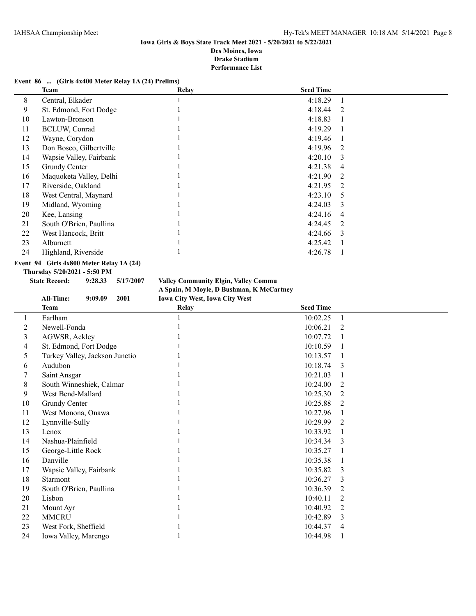#### **Event 86 ... (Girls 4x400 Meter Relay 1A (24) Prelims)**

|    | Team                    | <b>Relay</b> | <b>Seed Time</b> |                |
|----|-------------------------|--------------|------------------|----------------|
| 8  | Central, Elkader        |              | 4:18.29          |                |
| 9  | St. Edmond, Fort Dodge  |              | 4:18.44          | 2              |
| 10 | Lawton-Bronson          |              | 4:18.83          |                |
| 11 | <b>BCLUW, Conrad</b>    |              | 4:19.29          |                |
| 12 | Wayne, Corydon          |              | 4:19.46          |                |
| 13 | Don Bosco, Gilbertville |              | $4:19.96$ 2      |                |
| 14 | Wapsie Valley, Fairbank |              | 4:20.10          | $\mathcal{E}$  |
| 15 | Grundy Center           |              | 4:21.38          | 4              |
| 16 | Maquoketa Valley, Delhi |              | 4:21.90          | 2              |
| 17 | Riverside, Oakland      |              | 4:21.95          | $\overline{2}$ |
| 18 | West Central, Maynard   |              | 4:23.10          | 5              |
| 19 | Midland, Wyoming        |              | 4:24.03          | $\mathbf{3}$   |
| 20 | Kee, Lansing            |              | 4:24.16          | $\overline{4}$ |
| 21 | South O'Brien, Paullina |              | 4:24.45          | 2              |
| 22 | West Hancock, Britt     |              | 4:24.66          | $\mathbf{3}$   |
| 23 | Alburnett               |              | 4:25.42          |                |
| 24 | Highland, Riverside     |              | 4:26.78          |                |

### **Event 94 Girls 4x800 Meter Relay 1A (24)**

**Thursday 5/20/2021 - 5:50 PM**

**State Record: 9:28.33 5/17/2007 Valley Community Elgin, Valley Commu A Spain, M Moyle, D Bushman, K McCartney All-Time: 9:09.09 2001 Iowa City West, Iowa City West**

|    | <b>Team</b>                    | $2011.44$ Cavit 11 Cover 2011 44 Cavit 11 Cove<br>Relay | <b>Seed Time</b>           |  |
|----|--------------------------------|---------------------------------------------------------|----------------------------|--|
|    | Earlham                        |                                                         | 10:02.25                   |  |
| 2  | Newell-Fonda                   |                                                         | 10:06.21<br>2              |  |
| 3  | AGWSR, Ackley                  |                                                         | 10:07.72                   |  |
| 4  | St. Edmond, Fort Dodge         |                                                         | 10:10.59                   |  |
| 5  | Turkey Valley, Jackson Junctio |                                                         | 10:13.57<br>$\overline{1}$ |  |
| 6  | Audubon                        |                                                         | 10:18.74<br>3              |  |
|    | Saint Ansgar                   |                                                         | 10:21.03<br>1              |  |
| 8  | South Winneshiek, Calmar       |                                                         | 10:24.00<br>2              |  |
| 9  | West Bend-Mallard              |                                                         | 10:25.30<br>2              |  |
| 10 | Grundy Center                  |                                                         | 10:25.88<br>2              |  |
| 11 | West Monona, Onawa             |                                                         | 10:27.96<br>1              |  |
| 12 | Lynnville-Sully                |                                                         | 10:29.99<br>2              |  |
| 13 | Lenox                          |                                                         | 10:33.92<br>$\overline{1}$ |  |
| 14 | Nashua-Plainfield              |                                                         | 10:34.34<br>3              |  |
| 15 | George-Little Rock             |                                                         | 10:35.27<br>$\overline{1}$ |  |
| 16 | Danville                       |                                                         | 10:35.38                   |  |
| 17 | Wapsie Valley, Fairbank        |                                                         | 10:35.82<br>$\overline{3}$ |  |
| 18 | Starmont                       |                                                         | 10:36.27<br>3              |  |
| 19 | South O'Brien, Paullina        |                                                         | 2<br>10:36.39              |  |
| 20 | Lisbon                         |                                                         | 10:40.11<br>2              |  |
| 21 | Mount Ayr                      |                                                         | 10:40.92<br>2              |  |
| 22 | <b>MMCRU</b>                   |                                                         | 10:42.89<br>3              |  |
| 23 | West Fork, Sheffield           |                                                         | 10:44.37<br>$\overline{4}$ |  |
| 24 | Iowa Valley, Marengo           |                                                         | 10:44.98                   |  |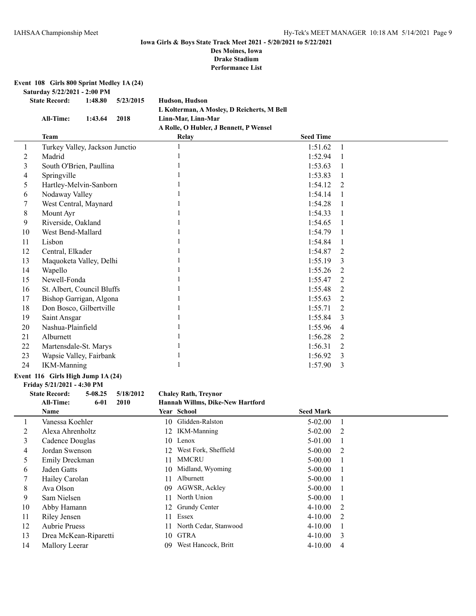**Event 108 Girls 800 Sprint Medley 1A (24)**

**Saturday 5/22/2021 - 2:00 PM**

**State Record: 1:48.80 5/23/2015 Hudson, Hudson L Kolterman, A Mosley, D Reicherts, M Bell All-Time: 1:43.64 2018 Linn-Mar, Linn-Mar A Rolle, O Hubler, J Bennett, P Wensel**

|    | Team                           | <b>Relay</b> | <b>Seed Time</b> |                |
|----|--------------------------------|--------------|------------------|----------------|
|    | Turkey Valley, Jackson Junctio |              | 1:51.62          | 1              |
| 2  | Madrid                         |              | 1:52.94          |                |
| 3  | South O'Brien, Paullina        |              | 1:53.63          |                |
| 4  | Springville                    |              | 1:53.83          |                |
| 5  | Hartley-Melvin-Sanborn         |              | 1:54.12          | $\mathfrak{D}$ |
| 6  | Nodaway Valley                 |              | 1:54.14          |                |
| 7  | West Central, Maynard          |              | 1:54.28          |                |
| 8  | Mount Ayr                      |              | 1:54.33          |                |
| 9  | Riverside, Oakland             |              | 1:54.65          |                |
| 10 | West Bend-Mallard              |              | 1:54.79          |                |
| 11 | Lisbon                         |              | 1:54.84          |                |
| 12 | Central, Elkader               |              | 1:54.87          | 2              |
| 13 | Maquoketa Valley, Delhi        |              | 1:55.19          | 3              |
| 14 | Wapello                        |              | 1:55.26          | 2              |
| 15 | Newell-Fonda                   |              | 1:55.47          | 2              |
| 16 | St. Albert, Council Bluffs     |              | 1:55.48          | 2              |
| 17 | Bishop Garrigan, Algona        |              | 1:55.63          | 2              |
| 18 | Don Bosco, Gilbertville        |              | 1:55.71          | 2              |
| 19 | Saint Ansgar                   |              | 1:55.84          | 3              |
| 20 | Nashua-Plainfield              |              | 1:55.96          | 4              |
| 21 | Alburnett                      |              | 1:56.28          | 2              |
| 22 | Martensdale-St. Marys          |              | 1:56.31          | 2              |
| 23 | Wapsie Valley, Fairbank        |              | 1:56.92          | 3              |
| 24 | <b>IKM-Manning</b>             |              | 1:57.90          | 3              |

#### **Event 116 Girls High Jump 1A (24)**

**Friday 5/21/2021 - 4:30 PM**

#### **State Record: 5-08.25 5/18/2012 Chaley Rath, Treynor**

**All-Time: 6-01 2010 Hannah Willms, Dike-New Hartford**

|    | <b>Name</b>           |     | Year School              | <b>Seed Mark</b> |    |
|----|-----------------------|-----|--------------------------|------------------|----|
|    | Vanessa Koehler       |     | 10 Glidden-Ralston       | $5-02.00$        |    |
| 2  | Alexa Ahrenholtz      |     | 12 IKM-Manning           | $5-02.00$        | 2  |
| 3  | Cadence Douglas       |     | 10 Lenox                 | 5-01.00          |    |
| 4  | Jordan Swenson        | 12  | West Fork, Sheffield     | $5 - 00.00$      | 2  |
| 5. | Emily Dreckman        | 11  | MMCRU                    | $5 - 00.00$      |    |
| 6  | Jaden Gatts           |     | 10 Midland, Wyoming      | $5 - 00.00$      |    |
|    | Hailey Carolan        | 11  | Alburnett                | $5 - 00.00$      |    |
| 8  | Ava Olson             | 09. | AGWSR, Ackley            | $5 - 00.00$      |    |
| 9  | Sam Nielsen           | 11  | North Union              | $5 - 00.00$      |    |
| 10 | Abby Hamann           |     | 12 Grundy Center         | $4-10.00$ 2      |    |
| 11 | Riley Jensen          | 11  | Essex                    | $4 - 10.00$      | 2  |
| 12 | <b>Aubrie Pruess</b>  |     | 11 North Cedar, Stanwood | $4 - 10.00$      |    |
| 13 | Drea McKean-Riparetti |     | 10 GTRA                  | $4 - 10.00$      | -3 |
| 14 | Mallory Leerar        | 09  | West Hancock, Britt      | $4 - 10.00$      | 4  |
|    |                       |     |                          |                  |    |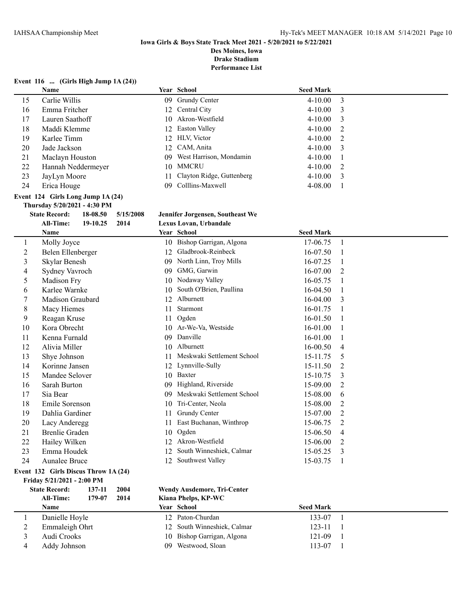#### **Iowa Girls & Boys State Track Meet 2021 - 5/20/2021 to 5/22/2021 Des Moines, Iowa**

**Drake Stadium**

**Performance List**

#### **Event 116 ... (Girls High Jump 1A (24))**

|    | Name               |     | <b>Year School</b>           | <b>Seed Mark</b> |     |
|----|--------------------|-----|------------------------------|------------------|-----|
| 15 | Carlie Willis      |     | 09 Grundy Center             | $4 - 10.00$      | -3  |
| 16 | Emma Fritcher      |     | 12 Central City              | $4 - 10.00$      | 3   |
| 17 | Lauren Saathoff    |     | 10 Akron-Westfield           | $4 - 10.00$      | -3  |
| 18 | Maddi Klemme       |     | 12 Easton Valley             | $4 - 10.00$      |     |
| 19 | Karlee Timm        |     | 12 HLV, Victor               | $4 - 10.00$      | -2  |
| 20 | Jade Jackson       |     | 12 CAM, Anita                | $4 - 10.00$      | -3  |
| 21 | Maclayn Houston    |     | 09 West Harrison, Mondamin   | $4 - 10.00$      |     |
| 22 | Hannah Neddermeyer |     | 10 MMCRU                     | $4 - 10.00$      | - 2 |
| 23 | JayLyn Moore       |     | 11 Clayton Ridge, Guttenberg | $4 - 10.00$      | -3  |
| 24 | Erica Houge        | 09. | Colllins-Maxwell             | $4 - 08.00$      |     |

#### **Event 124 Girls Long Jump 1A (24)**

**Thursday 5/20/2021 - 4:30 PM**

| <b>State Record:</b> | $18-08.50$ $5/15/2008$ | Jennifer Jorgensen, Southeast We |
|----------------------|------------------------|----------------------------------|

**All-Time: 19-10.25 2014 Lexus Lovan, Urbandale Name Seed Mark Year School Seed Mark Seed Mark** 

| 1              | Molly Joyce                            | 10 | Bishop Garrigan, Algona            | 17-06.75         | $\mathbf{1}$   |
|----------------|----------------------------------------|----|------------------------------------|------------------|----------------|
| $\overline{2}$ | Belen Ellenberger                      | 12 | Gladbrook-Reinbeck                 | 16-07.50         |                |
| 3              | Skylar Benesh                          | 09 | North Linn, Troy Mills             | 16-07.25         | 1              |
| 4              | Sydney Vavroch                         | 09 | GMG, Garwin                        | 16-07.00         | 2              |
| 5              | Madison Fry                            | 10 | Nodaway Valley                     | 16-05.75         | 1              |
| 6              | Karlee Warnke                          | 10 | South O'Brien, Paullina            | 16-04.50         | 1              |
| 7              | Madison Graubard                       | 12 | Alburnett                          | 16-04.00         | 3              |
| 8              | Macy Hiemes                            | 11 | Starmont                           | 16-01.75         | 1              |
| 9              | Reagan Kruse                           | 11 | Ogden                              | 16-01.50         | 1              |
| 10             | Kora Obrecht                           | 10 | Ar-We-Va, Westside                 | 16-01.00         | 1              |
| 11             | Kenna Furnald                          | 09 | Danville                           | 16-01.00         | 1              |
| 12             | Alivia Miller                          | 10 | Alburnett                          | 16-00.50         | 4              |
| 13             | Shye Johnson                           | 11 | Meskwaki Settlement School         | 15-11.75         | 5              |
| 14             | Korinne Jansen                         | 12 | Lynnville-Sully                    | 15-11.50         | $\overline{2}$ |
| 15             | Mandee Selover                         | 10 | Baxter                             | 15-10.75         | 3              |
| 16             | Sarah Burton                           | 09 | Highland, Riverside                | 15-09.00         | 2              |
| 17             | Sia Bear                               | 09 | Meskwaki Settlement School         | 15-08.00         | 6              |
| 18             | Emile Sorenson                         | 10 | Tri-Center, Neola                  | 15-08.00         | $\overline{2}$ |
| 19             | Dahlia Gardiner                        | 11 | Grundy Center                      | 15-07.00         | $\overline{2}$ |
| 20             | Lacy Anderegg                          | 11 | East Buchanan, Winthrop            | 15-06.75         | $\overline{2}$ |
| 21             | <b>Brenlie Graden</b>                  | 10 | Ogden                              | 15-06.50         | 4              |
| 22             | Hailey Wilken                          | 12 | Akron-Westfield                    | 15-06.00         | 2              |
| 23             | Emma Houdek                            | 12 | South Winneshiek, Calmar           | 15-05.25         | 3              |
| 24             | Aunalee Bruce                          | 12 | Southwest Valley                   | 15-03.75         | 1              |
|                | Event 132 Girls Discus Throw 1A (24)   |    |                                    |                  |                |
|                | Friday 5/21/2021 - 2:00 PM             |    |                                    |                  |                |
|                | 137-11<br><b>State Record:</b><br>2004 |    | <b>Wendy Ausdemore, Tri-Center</b> |                  |                |
|                | All-Time:<br>179-07<br>2014            |    | Kiana Phelps, KP-WC                |                  |                |
|                | Name                                   |    | Year School                        | <b>Seed Mark</b> |                |
| 1              | Danielle Hoyle                         |    | 12 Paton-Churdan                   | 133-07           | 1              |
| $\overline{c}$ | Emmaleigh Ohrt                         | 12 | South Winneshiek, Calmar           | 123-11           |                |
| 3              | Audi Crooks                            |    | 10 Bishop Garrigan, Algona         | 121-09           | 1              |

4 Addy Johnson 09 Westwood, Sloan 113-07 1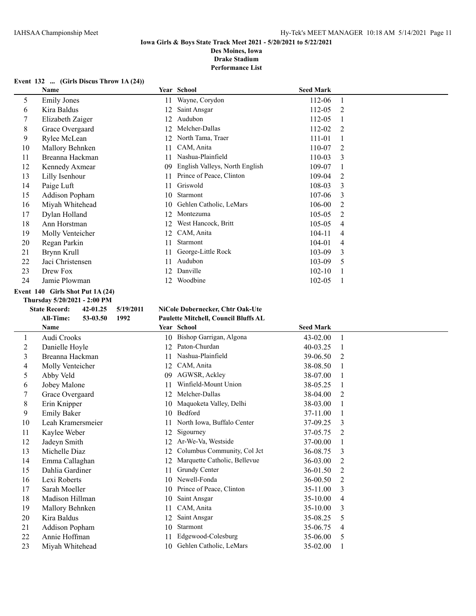#### **Iowa Girls & Boys State Track Meet 2021 - 5/20/2021 to 5/22/2021 Des Moines, Iowa**

**Drake Stadium**

**Performance List**

## **Event 132 ... (Girls Discus Throw 1A (24))**

|    | Name                             |     | Year School                    | <b>Seed Mark</b> |    |
|----|----------------------------------|-----|--------------------------------|------------------|----|
| 5  | <b>Emily Jones</b>               | 11  | Wayne, Corydon                 | 112-06           | -1 |
| 6  | Kira Baldus                      | 12  | Saint Ansgar                   | 112-05           | 2  |
|    | Elizabeth Zaiger                 | 12  | Audubon                        | 112-05           |    |
| 8  | Grace Overgaard                  | 12  | Melcher-Dallas                 | 112-02           | 2  |
| 9  | Rylee McLean                     | 12  | North Tama, Traer              | 111-01           |    |
| 10 | Mallory Behnken                  | 11  | CAM, Anita                     | 110-07           | 2  |
| 11 | Breanna Hackman                  | 11  | Nashua-Plainfield              | 110-03           | 3  |
| 12 | Kennedy Axmear                   | 09  | English Valleys, North English | 109-07           |    |
| 13 | Lilly Isenhour                   | 11  | Prince of Peace, Clinton       | 109-04           | 2  |
| 14 | Paige Luft                       | 11  | Griswold                       | 108-03           | 3  |
| 15 | Addison Popham                   | 10  | Starmont                       | 107-06           | 3  |
| 16 | Miyah Whitehead                  | 10  | Gehlen Catholic, LeMars        | 106-00           | 2  |
| 17 | Dylan Holland                    | 12  | Montezuma                      | $105 - 05$       | 2  |
| 18 | Ann Horstman                     | 12. | West Hancock, Britt            | $105 - 05$       | 4  |
| 19 | Molly Venteicher                 | 12  | CAM, Anita                     | 104-11           | 4  |
| 20 | Regan Parkin                     | 11  | Starmont                       | 104-01           | 4  |
| 21 | Brynn Krull                      | 11  | George-Little Rock             | 103-09           | 3  |
| 22 | Jaci Christensen                 | 11  | Audubon                        | 103-09           | 5  |
| 23 | Drew Fox                         | 12  | Danville                       | $102 - 10$       |    |
| 24 | Jamie Plowman                    | 12. | Woodbine                       | 102-05           | -1 |
|    | Event 140 Girls Shot Put 1A (24) |     |                                |                  |    |

# **Thursday 5/20/2021 - 2:00 PM**

 $\overline{\phantom{0}}$ 

#### **State Record: 42-01.25 5/19/2011 NiCole Dobernecker, Chtr Oak-Ute All-Time: 53-03.50 1992 Paulette Mitchell, Council Bluffs AL**

|    | <b>Name</b>        |     | Year School                  | <b>Seed Mark</b> |                               |
|----|--------------------|-----|------------------------------|------------------|-------------------------------|
|    | Audi Crooks        |     | 10 Bishop Garrigan, Algona   | 43-02.00         | 1                             |
| 2  | Danielle Hoyle     | 12  | Paton-Churdan                | 40-03.25         |                               |
| 3  | Breanna Hackman    | 11  | Nashua-Plainfield            | 39-06.50         | $\mathfrak{D}_{\mathfrak{p}}$ |
| 4  | Molly Venteicher   | 12  | CAM, Anita                   | 38-08.50         |                               |
| 5  | Abby Veld          | 09  | AGWSR, Ackley                | 38-07.00         |                               |
| 6  | Jobey Malone       |     | Winfield-Mount Union         | 38-05.25         |                               |
| 7  | Grace Overgaard    | 12  | Melcher-Dallas               | 38-04.00         | 2                             |
| 8  | Erin Knipper       | 10  | Maquoketa Valley, Delhi      | 38-03.00         |                               |
| 9  | <b>Emily Baker</b> | 10  | Bedford                      | 37-11.00         |                               |
| 10 | Leah Kramersmeier  |     | North Iowa, Buffalo Center   | 37-09.25         | 3                             |
| 11 | Kaylee Weber       | 12  | Sigourney                    | 37-05.75         | 2                             |
| 12 | Jadeyn Smith       | 12  | Ar-We-Va, Westside           | 37-00.00         |                               |
| 13 | Michelle Diaz      | 12. | Columbus Community, Col Jct  | 36-08.75         | 3                             |
| 14 | Emma Callaghan     | 12  | Marquette Catholic, Bellevue | 36-03.00         | 2                             |
| 15 | Dahlia Gardiner    | 11  | Grundy Center                | 36-01.50         | 2                             |
| 16 | Lexi Roberts       | 10  | Newell-Fonda                 | 36-00.50         | 2                             |
| 17 | Sarah Moeller      | 10  | Prince of Peace, Clinton     | 35-11.00         | 3                             |
| 18 | Madison Hillman    | 10  | Saint Ansgar                 | 35-10.00         | 4                             |
| 19 | Mallory Behnken    | 11  | CAM, Anita                   | 35-10.00         | 3                             |
| 20 | Kira Baldus        | 12  | Saint Ansgar                 | 35-08.25         | 5                             |
| 21 | Addison Popham     | 10  | Starmont                     | 35-06.75         | 4                             |
| 22 | Annie Hoffman      | 11  | Edgewood-Colesburg           | 35-06.00         | 5                             |
| 23 | Miyah Whitehead    | 10  | Gehlen Catholic, LeMars      | 35-02.00         |                               |